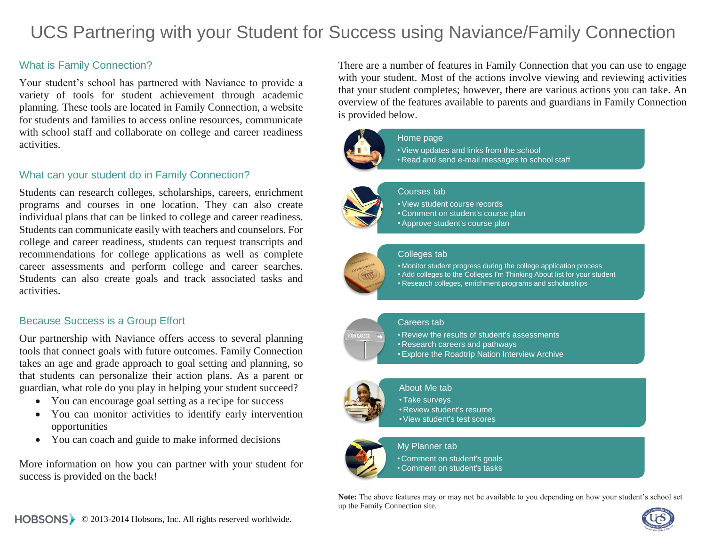# UCS Partnering with your Student for Success using Naviance/Family Connection

# What is Family Connection?

Your student's school has partnered with Naviance to provide a variety of tools for student achievement through academic planning. These tools are located in Family Connection, a website for students and families to access online resources, communicate with school staff and collaborate on college and career readiness activities.

### What can your student do in Family Connection?

Students can research colleges, scholarships, careers, enrichment programs and courses in one location. They can also create individual plans that can be linked to college and career readiness. Students can communicate easily with teachers and counselors. For college and career readiness, students can request transcripts and recommendations for college applications as well as complete career assessments and perform college and career searches. Students can also create goals and track associated tasks and activities.

# Because Success is a Group Effort

Our partnership with Naviance offers access to several planning tools that connect goals with future outcomes. Family Connection takes an age and grade approach to goal setting and planning, so that students can personalize their action plans. As a parent or guardian, what role do you play in helping your student succeed?

- You can encourage goal setting as a recipe for success
- You can monitor activities to identify early intervention opportunities
- You can coach and guide to make informed decisions

More information on how you can partner with your student for success is provided on the back!

There are a number of features in Family Connection that you can use to engage with your student. Most of the actions involve viewing and reviewing activities that your student completes; however, there are various actions you can take. An overview of the features available to parents and guardians in Family Connection is provided below.



#### Home page

•View updates and links from the school • Read and send e-mail messages to school staff

#### Courses tab

- •View student course records
	- Comment on student's course plan
	- •Approve student's course plan

#### Colleges tab

- Monitor student progress during the college application process
- Add colleges to the Colleges I'm Thinking About list for your student
- Research colleges, enrichment programs and scholarships

#### Careers tab



• Review the results of student's assessments • Research careers and pathways

•Explore the Roadtrip Nation Interview Archive

#### About Me tab

#### • Take surveys

- Review student's resume
	- •View student's test scores

#### My Planner tab

• Comment on student's goals • Comment on student's tasks

**Note:** The above features may or may not be available to you depending on how your student's school set up the Family Connection site.